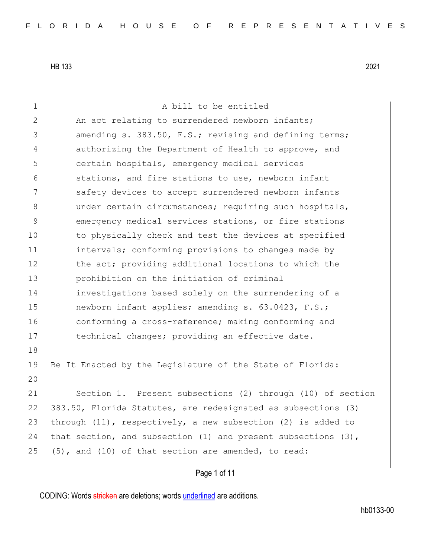| $\mathbf 1$  | A bill to be entitled                                              |
|--------------|--------------------------------------------------------------------|
| $\mathbf{2}$ | An act relating to surrendered newborn infants;                    |
| 3            | amending s. 383.50, F.S.; revising and defining terms;             |
| 4            | authorizing the Department of Health to approve, and               |
| 5            | certain hospitals, emergency medical services                      |
| 6            | stations, and fire stations to use, newborn infant                 |
| 7            | safety devices to accept surrendered newborn infants               |
| 8            | under certain circumstances; requiring such hospitals,             |
| 9            | emergency medical services stations, or fire stations              |
| 10           | to physically check and test the devices at specified              |
| 11           | intervals; conforming provisions to changes made by                |
| 12           | the act; providing additional locations to which the               |
| 13           | prohibition on the initiation of criminal                          |
| 14           | investigations based solely on the surrendering of a               |
| 15           | newborn infant applies; amending s. 63.0423, F.S.;                 |
| 16           | conforming a cross-reference; making conforming and                |
| 17           | technical changes; providing an effective date.                    |
| 18           |                                                                    |
| 19           | Be It Enacted by the Legislature of the State of Florida:          |
| 20           |                                                                    |
| 21           | Section 1. Present subsections (2) through (10) of section         |
| 22           | 383.50, Florida Statutes, are redesignated as subsections (3)      |
| 23           | through $(11)$ , respectively, a new subsection $(2)$ is added to  |
| 24           | that section, and subsection $(1)$ and present subsections $(3)$ , |
| 25           | (5), and (10) of that section are amended, to read:                |
|              | Page 1 of 11                                                       |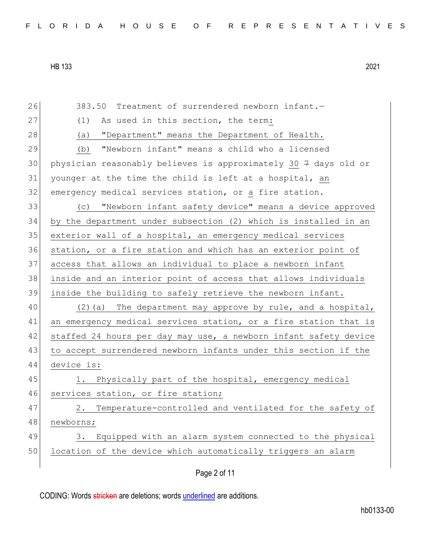26 383.50 Treatment of surrendered newborn infant.— 27 (1) As used in this section, the term: 28 (a) "Department" means the Department of Health. 29 (b) "Newborn infant" means a child who a licensed 30 physician reasonably believes is approximately 30  $\frac{1}{7}$  days old or 31 younger at the time the child is left at a hospital, an 32 emergency medical services station, or a fire station. 33 (c) "Newborn infant safety device" means a device approved 34 by the department under subsection (2) which is installed in an 35 exterior wall of a hospital, an emergency medical services 36 station, or a fire station and which has an exterior point of 37 access that allows an individual to place a newborn infant 38 inside and an interior point of access that allows individuals 39 inside the building to safely retrieve the newborn infant. 40 (2)(a) The department may approve by rule, and a hospital, 41 an emergency medical services station, or a fire station that is 42 staffed 24 hours per day may use, a newborn infant safety device 43 to accept surrendered newborn infants under this section if the 44 device is: 45 1. Physically part of the hospital, emergency medical 46 services station, or fire station; 47 2. Temperature-controlled and ventilated for the safety of 48 newborns; 49 3. Equipped with an alarm system connected to the physical 50 location of the device which automatically triggers an alarm

Page 2 of 11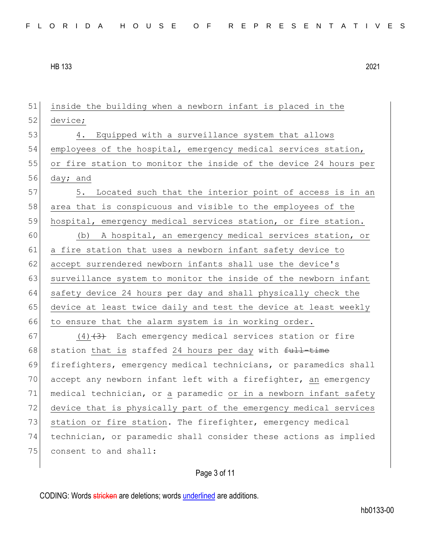51 inside the building when a newborn infant is placed in the 52 device; 53 4. Equipped with a surveillance system that allows 54 employees of the hospital, emergency medical services station, 55 or fire station to monitor the inside of the device 24 hours per 56 day; and 57 5. Located such that the interior point of access is in an 58 area that is conspicuous and visible to the employees of the 59 hospital, emergency medical services station, or fire station. 60 (b) A hospital, an emergency medical services station, or 61 a fire station that uses a newborn infant safety device to 62 accept surrendered newborn infants shall use the device's 63 surveillance system to monitor the inside of the newborn infant 64 safety device 24 hours per day and shall physically check the 65 device at least twice daily and test the device at least weekly 66 to ensure that the alarm system is in working order. 67 (4) $(4)$  Each emergency medical services station or fire 68 station that is staffed 24 hours per day with  $f_{\text{t}}$  time 69 firefighters, emergency medical technicians, or paramedics shall 70 accept any newborn infant left with a firefighter, an emergency 71 medical technician, or a paramedic or in a newborn infant safety 72 device that is physically part of the emergency medical services 73 station or fire station. The firefighter, emergency medical 74 technician, or paramedic shall consider these actions as implied 75 consent to and shall:

Page 3 of 11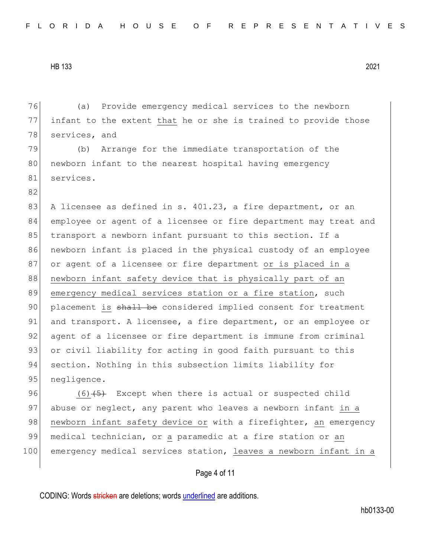82

76 (a) Provide emergency medical services to the newborn 77 infant to the extent that he or she is trained to provide those 78 services, and

79 (b) Arrange for the immediate transportation of the 80 newborn infant to the nearest hospital having emergency 81 services.

83 A licensee as defined in s. 401.23, a fire department, or an 84 employee or agent of a licensee or fire department may treat and 85 transport a newborn infant pursuant to this section. If a 86 newborn infant is placed in the physical custody of an employee 87 or agent of a licensee or fire department or is placed in a 88 newborn infant safety device that is physically part of an 89 emergency medical services station or a fire station, such 90 placement is shall be considered implied consent for treatment 91 and transport. A licensee, a fire department, or an employee or 92 agent of a licensee or fire department is immune from criminal 93 or civil liability for acting in good faith pursuant to this 94 section. Nothing in this subsection limits liability for 95 negligence.

96  $(6)$   $\leftarrow$  Except when there is actual or suspected child 97 abuse or neglect, any parent who leaves a newborn infant in a 98 newborn infant safety device or with a firefighter, an emergency 99| medical technician, or a paramedic at a fire station or an 100 emergency medical services station, leaves a newborn infant in a

## Page 4 of 11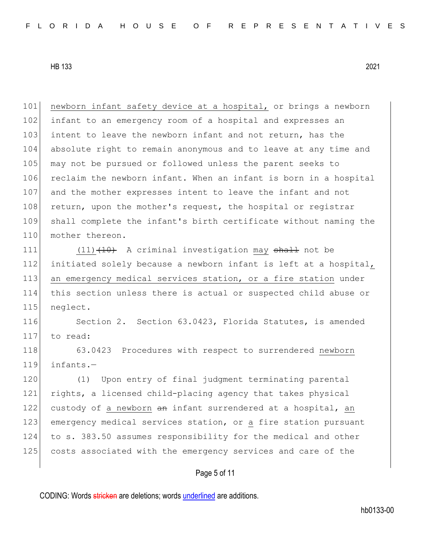101 newborn infant safety device at a hospital, or brings a newborn 102 infant to an emergency room of a hospital and expresses an 103 intent to leave the newborn infant and not return, has the 104 absolute right to remain anonymous and to leave at any time and 105 may not be pursued or followed unless the parent seeks to 106 reclaim the newborn infant. When an infant is born in a hospital 107 and the mother expresses intent to leave the infant and not 108 return, upon the mother's request, the hospital or registrar 109 shall complete the infant's birth certificate without naming the 110 mother thereon.

111 (11) (10) A criminal investigation may shall not be 112 initiated solely because a newborn infant is left at a hospital, 113 an emergency medical services station, or a fire station under 114 this section unless there is actual or suspected child abuse or 115 neglect.

116 Section 2. Section 63.0423, Florida Statutes, is amended 117 to read:

118 63.0423 Procedures with respect to surrendered newborn 119 infants.—

120 (1) Upon entry of final judgment terminating parental 121 rights, a licensed child-placing agency that takes physical 122 custody of a newborn an infant surrendered at a hospital, an 123 emergency medical services station, or a fire station pursuant 124 to s. 383.50 assumes responsibility for the medical and other 125 costs associated with the emergency services and care of the

## Page 5 of 11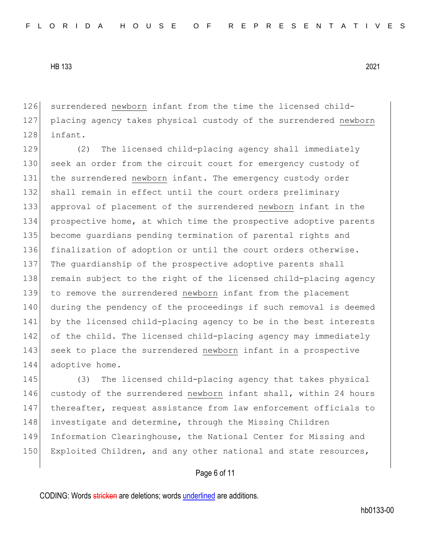126 surrendered newborn infant from the time the licensed child-127 placing agency takes physical custody of the surrendered newborn 128 infant.

129 (2) The licensed child-placing agency shall immediately 130 seek an order from the circuit court for emergency custody of 131 the surrendered newborn infant. The emergency custody order 132 shall remain in effect until the court orders preliminary 133 approval of placement of the surrendered newborn infant in the 134 prospective home, at which time the prospective adoptive parents 135 become guardians pending termination of parental rights and 136 finalization of adoption or until the court orders otherwise. 137 The guardianship of the prospective adoptive parents shall 138 remain subject to the right of the licensed child-placing agency 139 to remove the surrendered newborn infant from the placement 140 during the pendency of the proceedings if such removal is deemed 141 by the licensed child-placing agency to be in the best interests 142 of the child. The licensed child-placing agency may immediately 143 seek to place the surrendered newborn infant in a prospective 144 adoptive home.

145 (3) The licensed child-placing agency that takes physical 146 custody of the surrendered newborn infant shall, within 24 hours 147 thereafter, request assistance from law enforcement officials to 148 investigate and determine, through the Missing Children 149 Information Clearinghouse, the National Center for Missing and 150 Exploited Children, and any other national and state resources,

# Page 6 of 11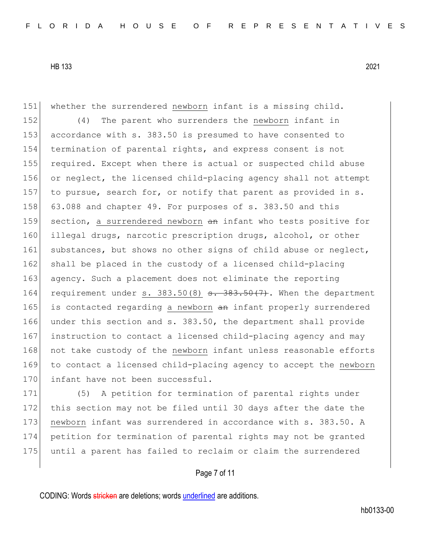151 whether the surrendered newborn infant is a missing child. 152 (4) The parent who surrenders the newborn infant in 153 accordance with s. 383.50 is presumed to have consented to 154 termination of parental rights, and express consent is not 155 required. Except when there is actual or suspected child abuse 156 or neglect, the licensed child-placing agency shall not attempt 157 to pursue, search for, or notify that parent as provided in s. 158 63.088 and chapter 49. For purposes of s. 383.50 and this 159 section, a surrendered newborn an infant who tests positive for 160 illegal drugs, narcotic prescription drugs, alcohol, or other 161 substances, but shows no other signs of child abuse or neglect, 162 shall be placed in the custody of a licensed child-placing 163 agency. Such a placement does not eliminate the reporting 164 requirement under s.  $383.50(8)$   $\overline{\phantom{0}3}$ .  $383.50(7)$ . When the department 165 is contacted regarding a newborn an infant properly surrendered 166 under this section and s. 383.50, the department shall provide 167 instruction to contact a licensed child-placing agency and may 168 not take custody of the newborn infant unless reasonable efforts 169 to contact a licensed child-placing agency to accept the newborn 170 infant have not been successful.

171 (5) A petition for termination of parental rights under 172 this section may not be filed until 30 days after the date the 173 newborn infant was surrendered in accordance with s. 383.50. A 174 petition for termination of parental rights may not be granted 175 until a parent has failed to reclaim or claim the surrendered

# Page 7 of 11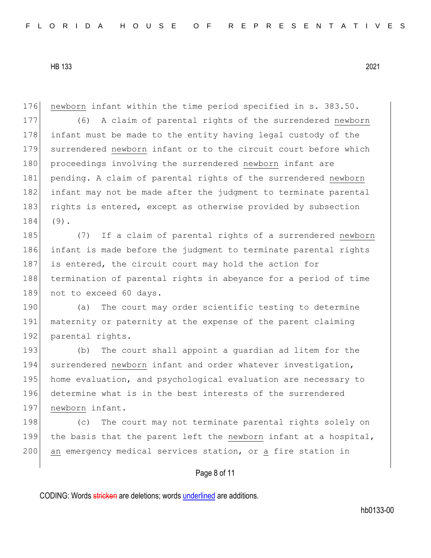176 newborn infant within the time period specified in s. 383.50.

177 (6) A claim of parental rights of the surrendered newborn 178 infant must be made to the entity having legal custody of the 179 surrendered newborn infant or to the circuit court before which 180 proceedings involving the surrendered newborn infant are 181 pending. A claim of parental rights of the surrendered newborn 182 infant may not be made after the judgment to terminate parental 183 rights is entered, except as otherwise provided by subsection 184 (9).

185 (7) If a claim of parental rights of a surrendered newborn 186 infant is made before the judgment to terminate parental rights 187 is entered, the circuit court may hold the action for 188 termination of parental rights in abeyance for a period of time 189 not to exceed 60 days.

190 (a) The court may order scientific testing to determine 191 maternity or paternity at the expense of the parent claiming 192 parental rights.

193 (b) The court shall appoint a quardian ad litem for the 194 surrendered newborn infant and order whatever investigation, 195 home evaluation, and psychological evaluation are necessary to 196 determine what is in the best interests of the surrendered 197 newborn infant.

198 (c) The court may not terminate parental rights solely on 199 the basis that the parent left the newborn infant at a hospital, 200 an emergency medical services station, or a fire station in

# Page 8 of 11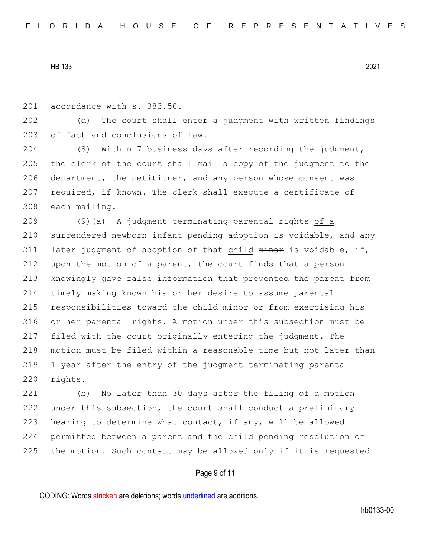201 accordance with s. 383.50.

202 (d) The court shall enter a judgment with written findings 203 of fact and conclusions of law.

204 (8) Within 7 business days after recording the judgment, 205 the clerk of the court shall mail a copy of the judgment to the 206 department, the petitioner, and any person whose consent was 207 required, if known. The clerk shall execute a certificate of 208 each mailing.

209 (9)(a) A judgment terminating parental rights of a 210 surrendered newborn infant pending adoption is voidable, and any 211 later judgment of adoption of that child minor is voidable, if, 212 upon the motion of a parent, the court finds that a person 213 knowingly gave false information that prevented the parent from 214 timely making known his or her desire to assume parental 215 responsibilities toward the child minor or from exercising his 216 or her parental rights. A motion under this subsection must be 217 filed with the court originally entering the judgment. The 218 motion must be filed within a reasonable time but not later than 219 1 year after the entry of the judgment terminating parental 220 rights.

221 (b) No later than 30 days after the filing of a motion 222 under this subsection, the court shall conduct a preliminary 223 hearing to determine what contact, if any, will be allowed 224 permitted between a parent and the child pending resolution of 225 the motion. Such contact may be allowed only if it is requested

# Page 9 of 11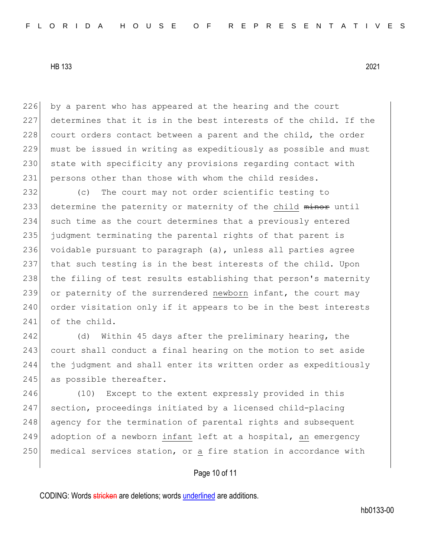226 by a parent who has appeared at the hearing and the court 227 determines that it is in the best interests of the child. If the 228 court orders contact between a parent and the child, the order 229 must be issued in writing as expeditiously as possible and must 230 state with specificity any provisions regarding contact with 231 persons other than those with whom the child resides.

232 (c) The court may not order scientific testing to 233 determine the paternity or maternity of the child minor until 234 such time as the court determines that a previously entered 235 judgment terminating the parental rights of that parent is 236 voidable pursuant to paragraph (a), unless all parties agree 237 that such testing is in the best interests of the child. Upon 238 the filing of test results establishing that person's maternity 239 or paternity of the surrendered newborn infant, the court may 240 order visitation only if it appears to be in the best interests 241 of the child.

242 (d) Within 45 days after the preliminary hearing, the 243 court shall conduct a final hearing on the motion to set aside 244 the judgment and shall enter its written order as expeditiously 245 as possible thereafter.

246 (10) Except to the extent expressly provided in this 247 section, proceedings initiated by a licensed child-placing 248 agency for the termination of parental rights and subsequent 249 adoption of a newborn infant left at a hospital, an emergency 250 medical services station, or a fire station in accordance with

# Page 10 of 11